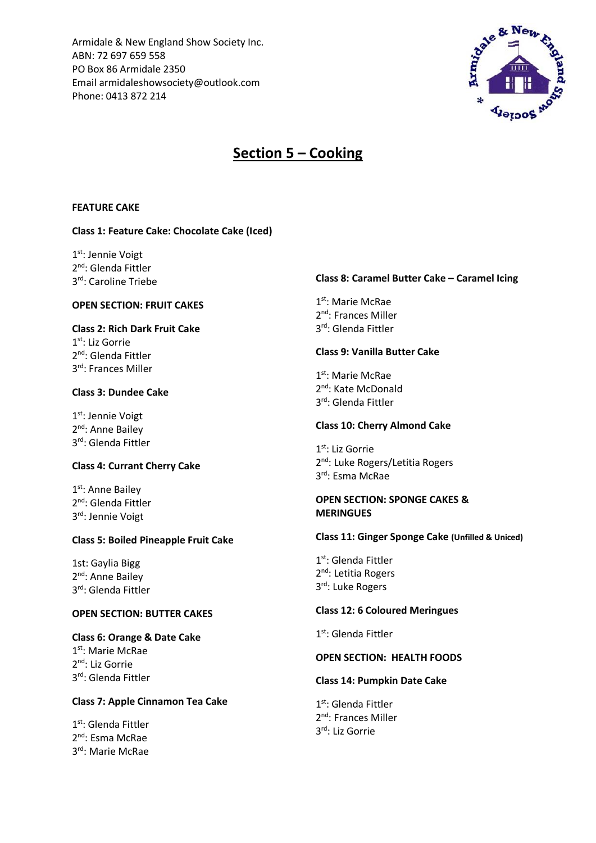Armidale & New England Show Society Inc. ABN: 72 697 659 558 PO Box 86 Armidale 2350 Email armidaleshowsociety@outlook.com Phone: 0413 872 214



# **Section 5 – Cooking**

#### **FEATURE CAKE**

## **Class 1: Feature Cake: Chocolate Cake (Iced)**

1st: Jennie Voigt 2<sup>nd</sup>: Glenda Fittler 3 rd: Caroline Triebe

## **OPEN SECTION: FRUIT CAKES**

## **Class 2: Rich Dark Fruit Cake**  1 st: Liz Gorrie

2<sup>nd</sup>: Glenda Fittler 3 rd: Frances Miller

## **Class 3: Dundee Cake**

1st: Jennie Voigt 2<sup>nd</sup>: Anne Bailey 3 rd: Glenda Fittler

## **Class 4: Currant Cherry Cake**

1<sup>st</sup>: Anne Bailey 2<sup>nd</sup>: Glenda Fittler 3 rd: Jennie Voigt

## **Class 5: Boiled Pineapple Fruit Cake**

1st: Gaylia Bigg 2<sup>nd</sup>: Anne Bailey 3 rd: Glenda Fittler

## **OPEN SECTION: BUTTER CAKES**

## **Class 6: Orange & Date Cake** 1 st: Marie McRae

2<sup>nd</sup>: Liz Gorrie 3 rd: Glenda Fittler

#### **Class 7: Apple Cinnamon Tea Cake**

1st: Glenda Fittler 2<sup>nd</sup>: Esma McRae 3 rd: Marie McRae

#### **Class 8: Caramel Butter Cake – Caramel Icing**

1 st: Marie McRae 2<sup>nd</sup>: Frances Miller 3 rd: Glenda Fittler

#### **Class 9: Vanilla Butter Cake**

1<sup>st</sup>: Marie McRae 2<sup>nd</sup>: Kate McDonald 3 rd: Glenda Fittler

#### **Class 10: Cherry Almond Cake**

1 st: Liz Gorrie 2<sup>nd</sup>: Luke Rogers/Letitia Rogers 3 rd: Esma McRae

#### **OPEN SECTION: SPONGE CAKES & MERINGUES**

#### **Class 11: Ginger Sponge Cake (Unfilled & Uniced)**

1<sup>st</sup>: Glenda Fittler 2<sup>nd</sup>: Letitia Rogers 3rd: Luke Rogers

## **Class 12: 6 Coloured Meringues**

1 st: Glenda Fittler

#### **OPEN SECTION: HEALTH FOODS**

## **Class 14: Pumpkin Date Cake**

1<sup>st</sup>: Glenda Fittler 2<sup>nd</sup>: Frances Miller 3 rd: Liz Gorrie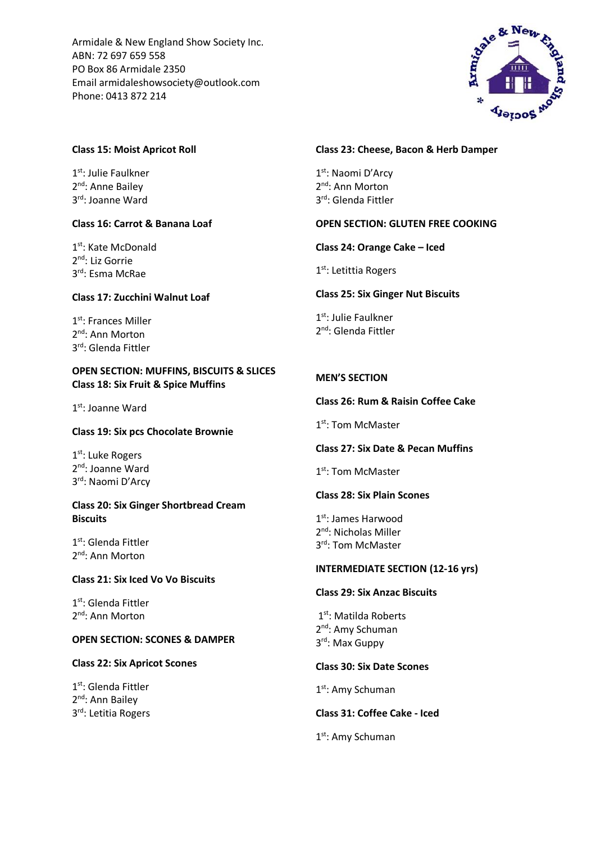Armidale & New England Show Society Inc. ABN: 72 697 659 558 PO Box 86 Armidale 2350 Email armidaleshowsociety@outlook.com Phone: 0413 872 214



## **Class 15: Moist Apricot Roll**

1st: Julie Faulkner 2<sup>nd</sup>: Anne Bailey 3 rd: Joanne Ward

## **Class 16: Carrot & Banana Loaf**

1<sup>st</sup>: Kate McDonald 2<sup>nd</sup>: Liz Gorrie 3 rd: Esma McRae

## **Class 17: Zucchini Walnut Loaf**

1st: Frances Miller 2<sup>nd</sup>: Ann Morton 3 rd: Glenda Fittler

## **OPEN SECTION: MUFFINS, BISCUITS & SLICES Class 18: Six Fruit & Spice Muffins**

1st: Joanne Ward

## **Class 19: Six pcs Chocolate Brownie**

1st: Luke Rogers 2<sup>nd</sup>: Joanne Ward 3<sup>rd</sup>: Naomi D'Arcy

## **Class 20: Six Ginger Shortbread Cream Biscuits**

1 st: Glenda Fittler 2<sup>nd</sup>: Ann Morton

## **Class 21: Six Iced Vo Vo Biscuits**

1st: Glenda Fittler 2<sup>nd</sup>: Ann Morton

## **OPEN SECTION: SCONES & DAMPER**

## **Class 22: Six Apricot Scones**

1st: Glenda Fittler 2<sup>nd</sup>: Ann Bailey 3 rd: Letitia Rogers

## **Class 23: Cheese, Bacon & Herb Damper**

1st: Naomi D'Arcy 2<sup>nd</sup>: Ann Morton 3 rd: Glenda Fittler

## **OPEN SECTION: GLUTEN FREE COOKING**

**Class 24: Orange Cake – Iced**

1st: Letittia Rogers

## **Class 25: Six Ginger Nut Biscuits**

1st: Julie Faulkner 2<sup>nd</sup>: Glenda Fittler

## **MEN'S SECTION**

## **Class 26: Rum & Raisin Coffee Cake**

1st: Tom McMaster

## **Class 27: Six Date & Pecan Muffins**

1st: Tom McMaster

## **Class 28: Six Plain Scones**

1st: James Harwood 2<sup>nd</sup>: Nicholas Miller 3rd: Tom McMaster

#### **INTERMEDIATE SECTION (12-16 yrs)**

## **Class 29: Six Anzac Biscuits**

1st: Matilda Roberts 2<sup>nd</sup>: Amy Schuman 3 rd: Max Guppy

## **Class 30: Six Date Scones**

1st: Amy Schuman

## **Class 31: Coffee Cake - Iced**

1st: Amy Schuman